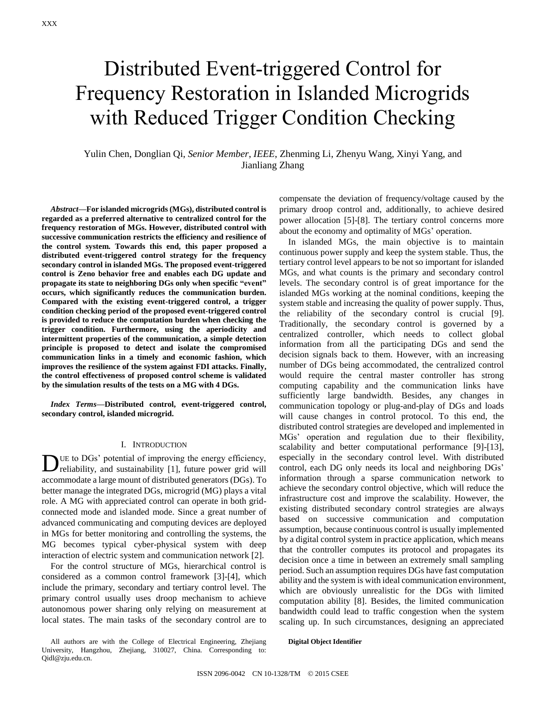# Distributed Event-triggered Control for Frequency Restoration in Islanded Microgrids with Reduced Trigger Condition Checking

Yulin Chen, Donglian Qi, *Senior Member*, *IEEE*, Zhenming Li, Zhenyu Wang, Xinyi Yang, and Jianliang Zhang

*Abstract***—For islanded microgrids (MGs), distributed control is regarded as a preferred alternative to centralized control for the frequency restoration of MGs. However, distributed control with successive communication restricts the efficiency and resilience of the control system. Towards this end, this paper proposed a distributed event-triggered control strategy for the frequency secondary control in islanded MGs. The proposed event-triggered control is Zeno behavior free and enables each DG update and propagate its state to neighboring DGs only when specific "event" occurs, which significantly reduces the communication burden. Compared with the existing event-triggered control, a trigger condition checking period of the proposed event-triggered control is provided to reduce the computation burden when checking the trigger condition. Furthermore, using the aperiodicity and intermittent properties of the communication, a simple detection principle is proposed to detect and isolate the compromised communication links in a timely and economic fashion, which improves the resilience of the system against FDI attacks. Finally, the control effectiveness of proposed control scheme is validated by the simulation results of the tests on a MG with 4 DGs.**

*Index Terms***—Distributed control, event-triggered control, secondary control, islanded microgrid.**

## I. INTRODUCTION

DUE to DGs' potential of improving the energy efficiency, reliability, and sustainability [1], future power grid will reliability, and sustainability [\[1\],](#page-8-0) future power grid will accommodate a large mount of distributed generators (DGs). To better manage the integrated DGs, microgrid (MG) plays a vital role. A MG with appreciated control can operate in both gridconnected mode and islanded mode. Since a great number of advanced communicating and computing devices are deployed in MGs for better monitoring and controlling the systems, the MG becomes typical cyber-physical system with deep interaction of electric system and communication network [\[2\].](#page-8-1)

For the control structure of MGs, hierarchical control is considered as a common control framework [\[3\]](#page-8-2)[-\[4\],](#page-8-3) which include the primary, secondary and tertiary control level. The primary control usually uses droop mechanism to achieve autonomous power sharing only relying on measurement at local states. The main tasks of the secondary control are to

All authors are with the College of Electrical Engineering, Zhejiang University, Hangzhou, Zhejiang, 310027, China. Corresponding to: Qidl@zju.edu.cn.

compensate the deviation of frequency/voltage caused by the primary droop control and, additionally, to achieve desired power allocation [\[5\]-](#page-8-4)[\[8\].](#page-9-0) The tertiary control concerns more about the economy and optimality of MGs' operation.

In islanded MGs, the main objective is to maintain continuous power supply and keep the system stable. Thus, the tertiary control level appears to be not so important for islanded MGs, and what counts is the primary and secondary control levels. The secondary control is of great importance for the islanded MGs working at the nominal conditions, keeping the system stable and increasing the quality of power supply. Thus, the reliability of the secondary control is crucial [\[9\].](#page-9-1) Traditionally, the secondary control is governed by a centralized controller, which needs to collect global information from all the participating DGs and send the decision signals back to them. However, with an increasing number of DGs being accommodated, the centralized control would require the central master controller has strong computing capability and the communication links have sufficiently large bandwidth. Besides, any changes in communication topology or plug-and-play of DGs and loads will cause changes in control protocol. To this end, the distributed control strategies are developed and implemented in MGs' operation and regulation due to their flexibility, scalability and better computational performance [\[9\]](#page-9-1)[-\[13\],](#page-9-2) especially in the secondary control level. With distributed control, each DG only needs its local and neighboring DGs' information through a sparse communication network to achieve the secondary control objective, which will reduce the infrastructure cost and improve the scalability. However, the existing distributed secondary control strategies are always based on successive communication and computation assumption, because continuous control is usually implemented by a digital control system in practice application, which means that the controller computes its protocol and propagates its decision once a time in between an extremely small sampling period. Such an assumption requires DGs have fast computation ability and the system is with ideal communication environment, which are obviously unrealistic for the DGs with limited computation ability [\[8\].](#page-9-0) Besides, the limited communication bandwidth could lead to traffic congestion when the system scaling up. In such circumstances, designing an appreciated

**Digital Object Identifier**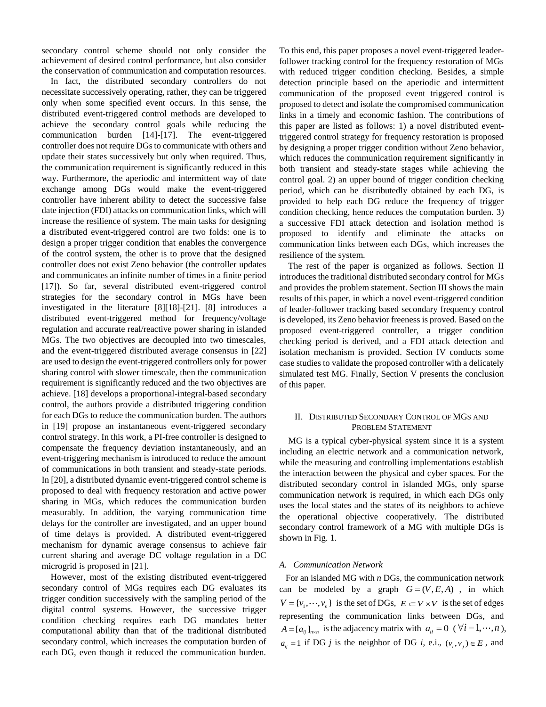secondary control scheme should not only consider the achievement of desired control performance, but also consider the conservation of communication and computation resources.

In fact, the distributed secondary controllers do not necessitate successively operating, rather, they can be triggered only when some specified event occurs. In this sense, the distributed event-triggered control methods are developed to achieve the secondary control goals while reducing the communication burden [\[14\]-](#page-9-3)[\[17\].](#page-9-4) The event-triggered controller does not require DGs to communicate with others and update their states successively but only when required. Thus, the communication requirement is significantly reduced in this way. Furthermore, the aperiodic and intermittent way of date exchange among DGs would make the event-triggered controller have inherent ability to detect the successive false date injection (FDI) attacks on communication links, which will increase the resilience of system. The main tasks for designing a distributed event-triggered control are two folds: one is to design a proper trigger condition that enables the convergence of the control system, the other is to prove that the designed controller does not exist Zeno behavior (the controller updates and communicates an infinite number of times in a finite period [\[17\]\)](#page-9-4). So far, several distributed event-triggered control strategies for the secondary control in MGs have been investigated in the literature [\[8\]](#page-9-0)[\[18\]](#page-9-5)[-\[21\].](#page-9-6) [\[8\]](#page-9-0) introduces a distributed event-triggered method for frequency/voltage regulation and accurate real/reactive power sharing in islanded MGs. The two objectives are decoupled into two timescales, and the event-triggered distributed average consensus in [\[22\]](#page-9-7) are used to design the event-triggered controllers only for power sharing control with slower timescale, then the communication requirement is significantly reduced and the two objectives are achieve. [\[18\]](#page-9-5) develops a proportional-integral-based secondary control, the authors provide a distributed triggering condition for each DGs to reduce the communication burden. The authors in [\[19\]](#page-9-8) propose an instantaneous event-triggered secondary control strategy. In this work, a PI-free controller is designed to compensate the frequency deviation instantaneously, and an event-triggering mechanism is introduced to reduce the amount of communications in both transient and steady-state periods. I[n \[20\],](#page-9-9) a distributed dynamic event-triggered control scheme is proposed to deal with frequency restoration and active power sharing in MGs, which reduces the communication burden measurably. In addition, the varying communication time delays for the controller are investigated, and an upper bound of time delays is provided. A distributed event-triggered mechanism for dynamic average consensus to achieve fair current sharing and average DC voltage regulation in a DC microgrid is proposed in [\[21\].](#page-9-6)

However, most of the existing distributed event-triggered secondary control of MGs requires each DG evaluates its trigger condition successively with the sampling period of the digital control systems. However, the successive trigger condition checking requires each DG mandates better computational ability than that of the traditional distributed secondary control, which increases the computation burden of each DG, even though it reduced the communication burden.

To this end, this paper proposes a novel event-triggered leaderfollower tracking control for the frequency restoration of MGs with reduced trigger condition checking. Besides, a simple detection principle based on the aperiodic and intermittent communication of the proposed event triggered control is proposed to detect and isolate the compromised communication links in a timely and economic fashion. The contributions of this paper are listed as follows: 1) a novel distributed eventtriggered control strategy for frequency restoration is proposed by designing a proper trigger condition without Zeno behavior, which reduces the communication requirement significantly in both transient and steady-state stages while achieving the control goal. 2) an upper bound of trigger condition checking period, which can be distributedly obtained by each DG, is provided to help each DG reduce the frequency of trigger condition checking, hence reduces the computation burden. 3) a successive FDI attack detection and isolation method is proposed to identify and eliminate the attacks on communication links between each DGs, which increases the resilience of the system.

The rest of the paper is organized as follows. Section II introduces the traditional distributed secondary control for MGs and provides the problem statement. Section III shows the main results of this paper, in which a novel event-triggered condition of leader-follower tracking based secondary frequency control is developed, its Zeno behavior freeness is proved. Based on the proposed event-triggered controller, a trigger condition checking period is derived, and a FDI attack detection and isolation mechanism is provided. Section IV conducts some case studies to validate the proposed controller with a delicately simulated test MG. Finally, Section V presents the conclusion of this paper.

# II. DISTRIBUTED SECONDARY CONTROL OF MGS AND PROBLEM STATEMENT

MG is a typical cyber-physical system since it is a system including an electric network and a communication network, while the measuring and controlling implementations establish the interaction between the physical and cyber spaces. For the distributed secondary control in islanded MGs, only sparse communication network is required, in which each DGs only uses the local states and the states of its neighbors to achieve the operational objective cooperatively. The distributed secondary control framework of a MG with multiple DGs is shown in Fig. 1.

## *A. Communication Network*

For an islanded MG with *n* DGs, the communication network can be modeled by a graph  $G = (V, E, A)$ , in which  $V = \{v_1, \dots, v_n\}$  is the set of DGs,  $E \subset V \times V$  is the set of edges representing the communication links between DGs, and  $A = [a_{ij}]_{n \times n}$  is the adjacency matrix with  $a_{ii} = 0 \ (\forall i = 1, \dots, n),$  $a_{ij} = 1$  if DG *j* is the neighbor of DG *i*, e.i.,  $(v_i, v_j) \in E$ , and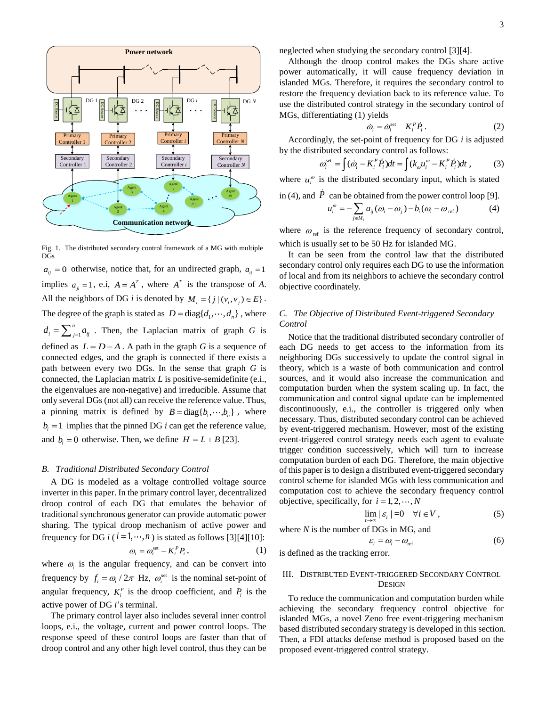

Fig. 1. The distributed secondary control framework of a MG with multiple DGs

 $a_{ij} = 0$  otherwise, notice that, for an undirected graph,  $a_{ij} = 1$ implies  $a_{ji} = 1$ , e.i,  $A = A^T$ , where  $A^T$  is the transpose of *A*. All the neighbors of DG *i* is denoted by  $M_i = \{j | (v_i, v_j) \in E\}$ . The degree of the graph is stated as  $D = diag{d_1, ..., d_n}$ , where 1  $d_i = \sum_{j=1}^n a_{ij}$ . Then, the Laplacian matrix of graph *G* is defined as  $L = D - A$ . A path in the graph *G* is a sequence of connected edges, and the graph is connected if there exists a path between every two DGs. In the sense that graph *G* is connected, the Laplacian matrix *L* is positive-semidefinite (e.i., the eigenvalues are non-negative) and irreducible. Assume that only several DGs (not all) can receive the reference value. Thus, a pinning matrix is defined by  $B = \text{diag} \{b_1, \dots, b_n\}$ , where  $b_i = 1$  implies that the pinned DG *i* can get the reference value, and  $b_i = 0$  otherwise. Then, we define  $H = L + B$  [\[23\].](#page-9-10)

## *B. Traditional Distributed Secondary Control*

A DG is modeled as a voltage controlled voltage source inverter in this paper. In the primary control layer, decentralized droop control of each DG that emulates the behavior of traditional synchronous generator can provide automatic power sharing. The typical droop mechanism of active power and frequency for DG *i* ( $i = 1, \dots, n$ ) is stated as follows [\[3\]](#page-8-2)[\[4\]](#page-8-3)[\[10\]:](#page-9-11)

$$
\omega_i = \omega_i^{\text{set}} - K_i^P P_i, \qquad (1)
$$

where  $\omega_i$  is the angular frequency, and can be convert into frequency by  $f_i = \omega_i / 2\pi$  Hz,  $\omega_i^{\text{set}}$  is the nominal set-point of angular frequency,  $K_i^P$  is the droop coefficient, and  $P_i$  is the active power of DG *i*'s terminal.

The primary control layer also includes several inner control loops, e.i., the voltage, current and power control loops. The response speed of these control loops are faster than that of droop control and any other high level control, thus they can be neglected when studying the secondary control [\[3\]](#page-8-2)[\[4\].](#page-8-3)

Although the droop control makes the DGs share active power automatically, it will cause frequency deviation in islanded MGs. Therefore, it requires the secondary control to restore the frequency deviation back to its reference value. To use the distributed control strategy in the secondary control of MGs, differentiating (1) yields

$$
\dot{\omega}_i = \dot{\omega}_i^{\text{set}} - K_i^P \dot{P}_i. \tag{2}
$$

Accordingly, the set-point of frequency for DG *i* is adjusted by the distributed secondary control as follows:

$$
\omega_i^{\text{set}} = \int (\dot{\omega}_i - K_i^P \dot{P}_i) dt = \int (k_\omega u_i^\omega - K_i^P \dot{P}_i) dt , \qquad (3)
$$

where  $u_i^{\omega}$  is the distributed secondary input, which is stated

in (4), and 
$$
P
$$
 can be obtained from the power control loop [9].

$$
u_i^{\omega} = -\sum_{j \in M_i} a_{ij} (\omega_i - \omega_j) - b_i (\omega_i - \omega_{\text{ref}})
$$
 (4)

where  $\omega_{ref}$  is the reference frequency of secondary control, which is usually set to be 50 Hz for islanded MG.

It can be seen from the control law that the distributed secondary control only requires each DG to use the information of local and from its neighbors to achieve the secondary control objective coordinately.

# *C. The Objective of Distributed Event-triggered Secondary Control*

Notice that the traditional distributed secondary controller of each DG needs to get access to the information from its neighboring DGs successively to update the control signal in theory, which is a waste of both communication and control sources, and it would also increase the communication and computation burden when the system scaling up. In fact, the communication and control signal update can be implemented discontinuously, e.i., the controller is triggered only when necessary. Thus, distributed secondary control can be achieved by event-triggered mechanism. However, most of the existing event-triggered control strategy needs each agent to evaluate trigger condition successively, which will turn to increase computation burden of each DG. Therefore, the main objective of this paper is to design a distributed event-triggered secondary control scheme for islanded MGs with less communication and computation cost to achieve the secondary frequency control objective, specifically, for  $i = 1, 2, \dots, N$ 

$$
\lim_{t \to \infty} |\varepsilon_i| = 0 \quad \forall i \in V , \tag{5}
$$

where *N* is the number of DGs in MG, and

(6)

is defined as the tracking error.

# III. DISTRIBUTED EVENT-TRIGGERED SECONDARY CONTROL **DESIGN**

 $\varepsilon_i = \omega_i - \omega_{\text{ref}}$ 

To reduce the communication and computation burden while achieving the secondary frequency control objective for islanded MGs, a novel Zeno free event-triggering mechanism based distributed secondary strategy is developed in this section. Then, a FDI attacks defense method is proposed based on the proposed event-triggered control strategy.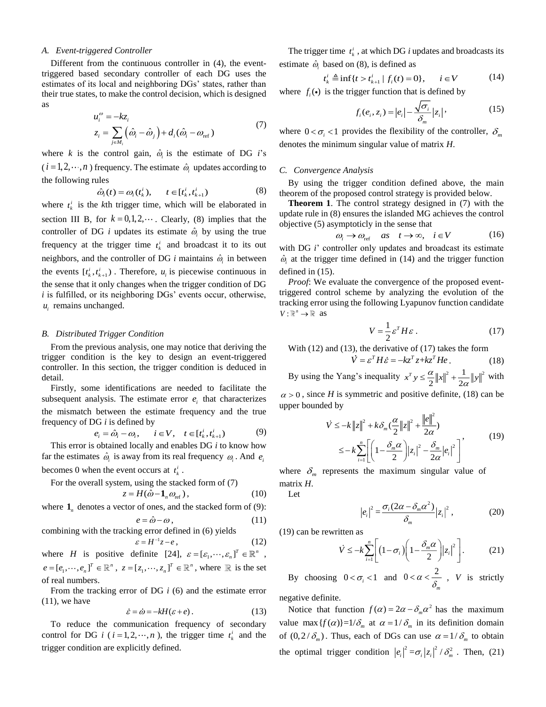#### *A. Event-triggered Controller*

Different from the continuous controller in (4), the eventtriggered based secondary controller of each DG uses the estimates of its local and neighboring DGs' states, rather than their true states, to make the control decision, which is designed as

$$
u_i^{\omega} = -kz_i
$$
  
\n
$$
z_i = \sum_{j \in M_i} (\hat{\omega}_i - \hat{\omega}_j) + d_i(\hat{\omega}_i - \omega_{\text{ref}})
$$
\n(7)

where *k* is the control gain,  $\hat{\omega}_i$  is the estimate of DG *i*'s  $(i = 1, 2, \dots, n)$  frequency. The estimate  $\hat{\omega}_i$  updates according to the following rules

$$
\hat{\omega}_i(t) = \omega_i(t_k^i), \qquad t \in [t_k^i, t_{k+1}^i)
$$
\n(8)

where  $t_k^i$  is the *k*th trigger time, which will be elaborated in section III B, for  $k = 0, 1, 2, \dots$ . Clearly, (8) implies that the controller of DG *i* updates its estimate  $\hat{\omega}_i$  by using the true frequency at the trigger time  $t_k^i$  and broadcast it to its out neighbors, and the controller of DG  $i$  maintains  $\hat{\omega}_i$  in between the events  $[t_k^i, t_{k+1}^i)$ . Therefore,  $u_i$  is piecewise continuous in the sense that it only changes when the trigger condition of DG *i* is fulfilled, or its neighboring DGs' events occur, otherwise,  $u_i$  remains unchanged.

#### *B. Distributed Trigger Condition*

From the previous analysis, one may notice that deriving the trigger condition is the key to design an event-triggered controller. In this section, the trigger condition is deduced in detail.

Firstly, some identifications are needed to facilitate the subsequent analysis. The estimate error  $e_i$  that characterizes the mismatch between the estimate frequency and the true frequency of DG *i* is defined by

$$
e_i = \hat{\omega}_i - \omega_i, \qquad i \in V, \quad t \in [t_k^i, t_{k+1}^i)
$$
 (9)

This error is obtained locally and enables DG *i* to know how far the estimates  $\hat{\omega}_i$  is away from its real frequency  $\omega_i$ . And  $e_i$ becomes 0 when the event occurs at  $t_k^i$ .

For the overall system, using the stacked form of (7)

$$
z = H(\hat{\omega} - \mathbf{1}_n \omega_{\text{ref}}), \qquad (10)
$$

where  $\mathbf{1}_n$  denotes a vector of ones, and the stacked form of (9):

$$
e = \hat{\omega} - \omega \,,\tag{11}
$$

combining with the tracking error defined in (6) yields

 $\varepsilon = H^{-1}z - e,$  (12) where *H* is positive definite [\[24\],](#page-9-12)  $\varepsilon = [\varepsilon_1, \dots, \varepsilon_n]^T \in \mathbb{R}^n$ ,  $e = [e_1, \dots, e_n]^T \in \mathbb{R}^n$ ,  $z = [z_1, \dots, z_n]^T \in \mathbb{R}^n$ , where  $\mathbb R$  is the set of real numbers.

From the tracking error of DG *i* (6) and the estimate error  $(11)$ , we have

$$
\dot{\varepsilon} = \dot{\omega} = -kH(\varepsilon + e). \tag{13}
$$

To reduce the communication frequency of secondary control for DG *i* ( $i = 1, 2, \dots, n$ ), the trigger time  $t_k^i$  and the trigger condition are explicitly defined.

The trigger time  $t_k^i$ , at which DG *i* updates and broadcasts its estimate  $\hat{\omega}_i$  based on (8), is defined as

$$
t_k^i \triangleq \inf\{t > t_{k+1}^i \mid f_i(t) = 0\}, \quad i \in V \tag{14}
$$

where  $f_i(\cdot)$  is the trigger function that is defined by

$$
f_i(e_i, z_i) = |e_i| - \frac{\sqrt{\sigma_i}}{\delta_m} |z_i|,\tag{15}
$$

where  $0 < \sigma_i < 1$  provides the flexibility of the controller,  $\delta_m$ denotes the minimum singular value of matrix *H*.

#### *C. Convergence Analysis*

By using the trigger condition defined above, the main theorem of the proposed control strategy is provided below.

**Theorem 1**. The control strategy designed in (7) with the update rule in (8) ensures the islanded MG achieves the control objective (5) asymptoticly in the sense that

$$
\omega_i \to \omega_{\text{ref}} \quad as \quad t \to \infty, \quad i \in V \tag{16}
$$

with DG *i*' controller only updates and broadcast its estimate  $\hat{\omega}_i$  at the trigger time defined in (14) and the trigger function defined in (15).

*Proof*: We evaluate the convergence of the proposed eventtriggered control scheme by analyzing the evolution of the tracking error using the following Lyapunov function candidate  $V: \mathbb{R}^n \to \mathbb{R}$  as

$$
V = \frac{1}{2} \varepsilon^T H \varepsilon \,. \tag{17}
$$

With (12) and (13), the derivative of (17) takes the form

$$
\dot{V} = \varepsilon^T H \dot{\varepsilon} = -k z^T z + k z^T H e. \qquad (18)
$$

By using the Yang's inequality  $x^T y \leq \frac{\alpha}{2} ||x||^2 + \frac{1}{2} ||y||^2$ 2 " 2  $x^T y \leq \frac{\alpha}{2} \|x\|^2 + \frac{1}{2} \|y\|^2$  $\leq \frac{\alpha}{2} ||x||^2 + \frac{1}{2\alpha} ||y||^2$  with  $\alpha$  > 0, since *H* is symmetric and positive definite, (18) can be

upper bounded by

$$
\dot{V} \le -k \|z\|^2 + k \delta_m \left(\frac{\alpha}{2} \|z\|^2 + \frac{\|e\|^2}{2\alpha}\right)
$$
  

$$
\le -k \sum_{i=1}^n \left[ \left(1 - \frac{\delta_m \alpha}{2}\right) |z_i|^2 - \frac{\delta_m}{2\alpha} |e_i|^2 \right]
$$
 (19)

where  $\delta_m$  represents the maximum singular value of matrix *H*.

Let

$$
|e_i|^2 = \frac{\sigma_i (2\alpha - \delta_m \alpha^2)}{\delta_m} |z_i|^2, \qquad (20)
$$

(19) can be rewritten as

$$
\dot{V} \le -k \sum_{i=1}^{n} \left[ \left( 1 - \sigma_i \right) \left( 1 - \frac{\delta_m \alpha}{2} \right) |z_i|^2 \right].
$$
 (21)

By choosing  $0 < \sigma_i < 1$  and  $0 < \alpha < \frac{2}{\delta}$ , *V* is strictly *m*

negative definite.

Notice that function  $f(\alpha) = 2\alpha - \delta_m \alpha^2$  has the maximum value max  $\{f(\alpha)\}$ =1/ $\delta_m$  at  $\alpha = 1/\delta_m$  in its definition domain of  $(0, 2/\delta_m)$ . Thus, each of DGs can use  $\alpha = 1/\delta_m$  to obtain the optimal trigger condition  $|e_i|^2 = \sigma_i |z_i|^2 / \delta_m^2$ . Then, (21)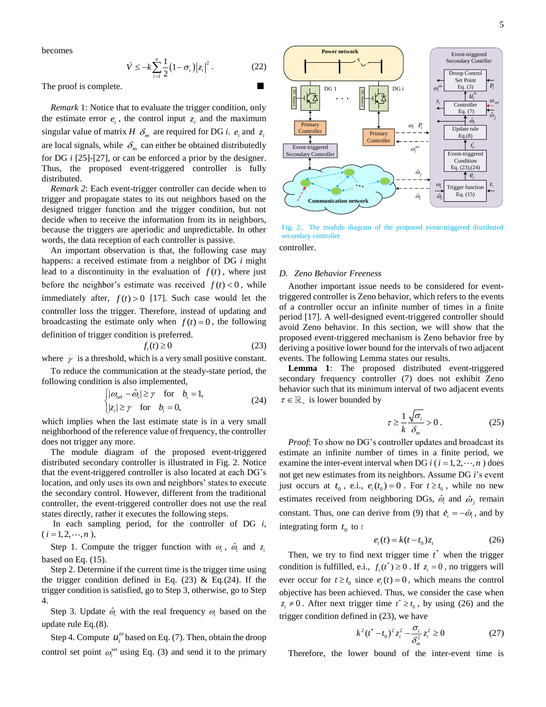becomes

$$
\dot{V} \le -k \sum_{i=1}^{n} \frac{1}{2} (1 - \sigma_i) |z_i|^2.
$$
 (22)

The proof is complete.

*Remark* 1: Notice that to evaluate the trigger condition, only the estimate error  $e_i$ , the control input  $z_i$  and the maximum singular value of matrix *H*  $\delta_m$  are required for DG *i*.  $e_i$  and  $z_i$ are local signals, while  $\delta_m$  can either be obtained distributedly for DG *i* [\[25\]](#page-9-13)[-\[27\],](#page-9-14) or can be enforced a prior by the designer. Thus, the proposed event-triggered controller is fully distributed.

*Remark 2*: Each event-trigger controller can decide when to trigger and propagate states to its out neighbors based on the designed trigger function and the trigger condition, but not decide when to receive the information from its in neighbors, because the triggers are aperiodic and unpredictable. In other words, the data reception of each controller is passive.

An important observation is that, the following case may happens: a received estimate from a neighbor of DG *i* might lead to a discontinuity in the evaluation of  $f(t)$ , where just before the neighbor's estimate was received  $f(t) < 0$ , while immediately after,  $f(t) > 0$  [\[17\].](#page-9-4) Such case would let the controller loss the trigger. Therefore, instead of updating and broadcasting the estimate only when  $f(t) = 0$ , the following definition of trigger condition is preferred.

$$
f_i(t) \ge 0 \tag{23}
$$

where  $\gamma$  is a threshold, which is a very small positive constant.

To reduce the communication at the steady-state period, the following condition is also implemented,

$$
\begin{cases} |\omega_{\text{ref}} - \hat{\omega}_i| \ge \gamma & \text{for } b_i = 1, \\ |z_i| \ge \gamma & \text{for } b_i = 0, \end{cases}
$$
 (24)

which implies when the last estimate state is in a very small neighborhood of the reference value of frequency, the controller does not trigger any more.

The module diagram of the proposed event-triggered distributed secondary controller is illustrated in Fig. 2. Notice that the event-triggered controller is also located at each DG's location, and only uses its own and neighbors' states to execute the secondary control. However, different from the traditional controller, the event-triggered controller does not use the real states directly, rather it executes the following steps.

In each sampling period, for the controller of DG *i*,  $(i = 1, 2, \dots, n),$ 

Step 1. Compute the trigger function with  $\omega_i$ ,  $\hat{\omega}_i$  and  $z_i$ based on Eq. (15).

Step 2. Determine if the current time is the trigger time using the trigger condition defined in Eq.  $(23)$  & Eq. $(24)$ . If the trigger condition is satisfied, go to Step 3, otherwise, go to Step 4.

Step 3. Update  $\hat{\omega}_i$  with the real frequency  $\omega_i$  based on the update rule Eq.(8).

Step 4. Compute  $u_i^{\omega}$  based on Eq. (7). Then, obtain the droop control set point  $\omega_i^{\text{set}}$  using Eq. (3) and send it to the primary



Fig. 2. The module diagram of the proposed event-triggered distributed secondary controller

controller.

# *D. Zeno Behavior Freeness*

Another important issue needs to be considered for eventtriggered controller is Zeno behavior, which refers to the events of a controller occur an infinite number of times in a finite period [\[17\].](#page-9-4) A well-designed event-triggered controller should avoid Zeno behavior. In this section, we will show that the proposed event-triggered mechanism is Zeno behavior free by deriving a positive lower bound for the intervals of two adjacent events. The following Lemma states our results.

**Lemma 1**: The proposed distributed event-triggered secondary frequency controller (7) does not exhibit Zeno behavior such that its minimum interval of two adjacent events  $\tau \in \mathbb{R}_+$  is lower bounded by

$$
\tau \ge \frac{1}{k} \frac{\sqrt{\sigma_i}}{\delta_m} > 0 \,. \tag{25}
$$

*Proof*: To show no DG's controller updates and broadcast its estimate an infinite number of times in a finite period, we examine the inter-event interval when DG  $i$  ( $i = 1, 2, \dots, n$ ) does not get new estimates from its neighbors. Assume DG *i*'s event just occurs at  $t_0$ , e.i.,  $e_i(t_0) = 0$ . For  $t \ge t_0$ , while no new estimates received from neighboring DGs,  $\hat{\omega}_i$  and  $\hat{\omega}_j$  remain constant. Thus, one can derive from (9) that  $\dot{e}_i = -\dot{\omega}_i$ , and by integrating form  $t_0$  to t

$$
e_i(t) = k(t - t_0)z_i
$$
 (26)

Then, we try to find next trigger time  $t^*$  when the trigger condition is fulfilled, e.i.,  $f_i(t^*) \ge 0$ . If  $z_i = 0$ , no triggers will ever occur for  $t \geq t_0$  since  $e_i(t) = 0$ , which means the control objective has been achieved. Thus, we consider the case when  $z_i \neq 0$ . After next trigger time  $t^* \geq t_0$ , by using (26) and the trigger condition defined in (23), we have

$$
k^{2}(t^{*}-t_{0})^{2}z_{i}^{2}-\frac{\sigma_{i}}{\delta_{m}^{2}}z_{i}^{2}\geq 0
$$
 (27)

Therefore, the lower bound of the inter-event time is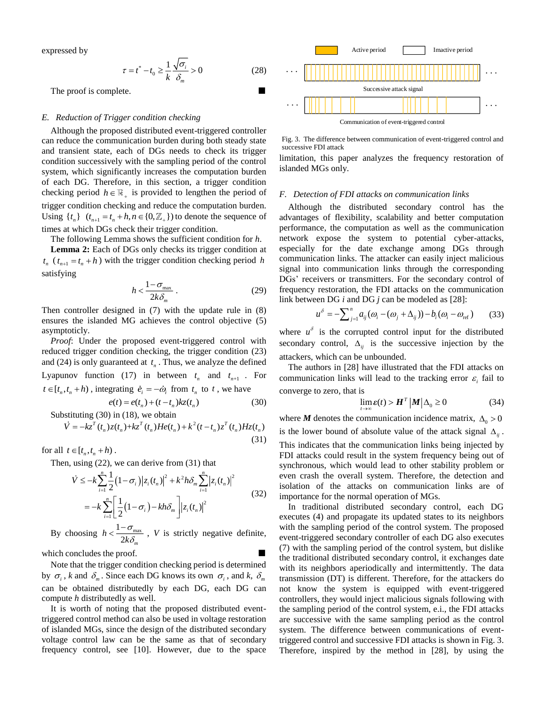expressed by

$$
\tau = t^* - t_0 \ge \frac{1}{k} \frac{\sqrt{\sigma_i}}{\delta_m} > 0
$$
\n(28)

The proof is complete.

# *E. Reduction of Trigger condition checking*

Although the proposed distributed event-triggered controller can reduce the communication burden during both steady state and transient state, each of DGs needs to check its trigger condition successively with the sampling period of the control system, which significantly increases the computation burden of each DG. Therefore, in this section, a trigger condition checking period  $h \in \mathbb{R}_+$  is provided to lengthen the period of trigger condition checking and reduce the computation burden. Using  $\{t_n\}$   $(t_{n+1} = t_n + h, n \in \{0, \mathbb{Z}_+\}\)$  to denote the sequence of times at which DGs check their trigger condition.

The following Lemma shows the sufficient condition for *h*.

**Lemma 2:** Each of DGs only checks its trigger condition at  $t_n$  ( $t_{n+1} = t_n + h$ ) with the trigger condition checking period *h* satisfying

$$
h < \frac{1 - \sigma_{\text{max}}}{2k\delta_m} \,. \tag{29}
$$

Then controller designed in (7) with the update rule in (8) ensures the islanded MG achieves the control objective (5) asymptoticly.

*Proof*: Under the proposed event-triggered control with reduced trigger condition checking, the trigger condition (23) and (24) is only guaranteed at  $t_n$ . Thus, we analyze the defined Lyapunov function (17) in between  $t_n$  and  $t_{n+1}$ . For  $t \in [t_n, t_n + h)$ , integrating  $\dot{e}_i = -\dot{\omega}_i$  from  $t_n$  to  $t$ , we have

$$
e(t) = e(t_n) + (t - t_n)kz(t_n)
$$
 (30)

(31)

Substituting (30) in (18), we obtain

$$
\dot{V} = -kz^{T}(t_{n})z(t_{n}) + kz^{T}(t_{n})He(t_{n}) + k^{2}(t - t_{n})z^{T}(t_{n})Hz(t_{n})
$$

for all  $t \in [t_n, t_n + h)$ .

Then, using (22), we can derive from (31) that  
\n
$$
\dot{V} \le -k \sum_{i=1}^{n} \frac{1}{2} (1 - \sigma_i) |z_i(t_n)|^2 + k^2 h \delta_m \sum_{i=1}^{n} |z_i(t_n)|^2
$$
\n
$$
= -k \sum_{i=1}^{n} \left[ \frac{1}{2} (1 - \sigma_i) - kh \delta_m \right] |z_i(t_n)|^2
$$
\n(32)

By choosing  $h < \frac{1-\sigma_{\text{max}}}{\sigma_{\text{max}}}$  $2k\delta_{\scriptscriptstyle m}$  $h < \frac{1}{2k}$ σ δ  $\frac{1 - U_{\text{max}}}{\sigma}$ , *V* is strictly negative definite,

which concludes the proof.

Note that the trigger condition checking period is determined by  $\sigma_i$ , *k* and  $\delta_m$ . Since each DG knows its own  $\sigma_i$ , and *k*,  $\delta_m$ can be obtained distributedly by each DG, each DG can compute *h* distributedly as well.

It is worth of noting that the proposed distributed eventtriggered control method can also be used in voltage restoration of islanded MGs, since the design of the distributed secondary voltage control law can be the same as that of secondary frequency control, see [10]. However, due to the space



Fig. 3. The difference between communication of event-triggered control and successive FDI attack

limitation, this paper analyzes the frequency restoration of islanded MGs only.

#### *F. Detection of FDI attacks on communication links*

Although the distributed secondary control has the advantages of flexibility, scalability and better computation performance, the computation as well as the communication network expose the system to potential cyber-attacks, especially for the date exchange among DGs through communication links. The attacker can easily inject malicious signal into communication links through the corresponding DGs' receivers or transmitters. For the secondary control of frequency restoration, the FDI attacks on the communication link between DG *i* and DG *j* can be modeled as [\[28\]:](#page-9-15)

$$
u^{\delta} = -\sum_{j=1}^{n} a_{ij} (\omega_i - (\omega_j + \Delta_{ij})) - b_i (\omega_i - \omega_{ref})
$$
 (33)

where  $u^{\delta}$  is the corrupted control input for the distributed secondary control,  $\Delta_{ij}$  is the successive injection by the attackers, which can be unbounded.

The authors in [\[28\]](#page-9-15) have illustrated that the FDI attacks on communication links will lead to the tracking error  $\varepsilon_i$  fail to converge to zero, that is

$$
\lim_{t \to \infty} \varepsilon(t) > H^T \left| M \right| \Delta_0 \ge 0 \tag{34}
$$

where *M* denotes the communication incidence matrix,  $\Delta_0 > 0$ is the lower bound of absolute value of the attack signal  $\Delta_{ij}$ .

This indicates that the communication links being injected by FDI attacks could result in the system frequency being out of synchronous, which would lead to other stability problem or even crash the overall system. Therefore, the detection and isolation of the attacks on communication links are of importance for the normal operation of MGs.

In traditional distributed secondary control, each DG executes (4) and propagate its updated states to its neighbors with the sampling period of the control system. The proposed event-triggered secondary controller of each DG also executes (7) with the sampling period of the control system, but dislike the traditional distributed secondary control, it exchanges date with its neighbors aperiodically and intermittently. The data transmission (DT) is different. Therefore, for the attackers do not know the system is equipped with event-triggered controllers, they would inject malicious signals following with the sampling period of the control system, e.i., the FDI attacks are successive with the same sampling period as the control system. The difference between communications of eventtriggered control and successive FDI attacks is shown in Fig. 3. Therefore, inspired by the method in [\[28\],](#page-9-15) by using the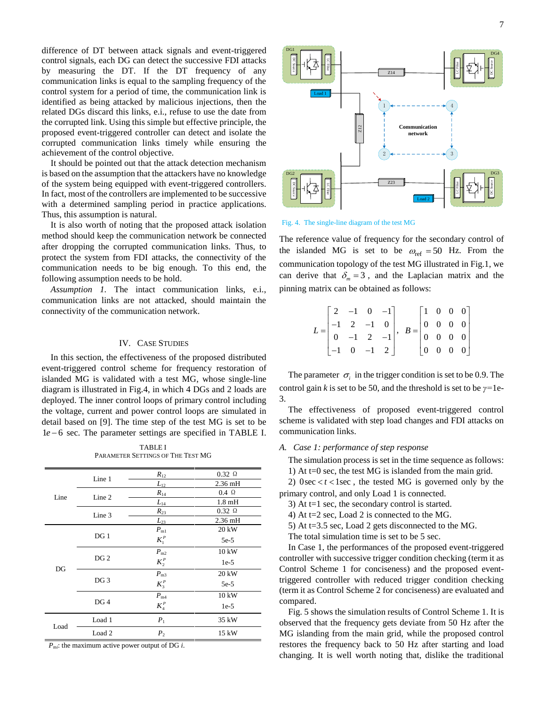difference of DT between attack signals and event-triggered control signals, each DG can detect the successive FDI attacks by measuring the DT. If the DT frequency of any communication links is equal to the sampling frequency of the control system for a period of time, the communication link is identified as being attacked by malicious injections, then the related DGs discard this links, e.i., refuse to use the date from the corrupted link. Using this simple but effective principle, the proposed event-triggered controller can detect and isolate the corrupted communication links timely while ensuring the achievement of the control objective.

It should be pointed out that the attack detection mechanism is based on the assumption that the attackers have no knowledge of the system being equipped with event-triggered controllers. In fact, most of the controllers are implemented to be successive with a determined sampling period in practice applications. Thus, this assumption is natural.

It is also worth of noting that the proposed attack isolation method should keep the communication network be connected after dropping the corrupted communication links. Thus, to protect the system from FDI attacks, the connectivity of the communication needs to be big enough. To this end, the following assumption needs to be hold.

*Assumption 1.* The intact communication links, e.i., communication links are not attacked, should maintain the connectivity of the communication network.

## IV. CASE STUDIES

In this section, the effectiveness of the proposed distributed event-triggered control scheme for frequency restoration of islanded MG is validated with a test MG, whose single-line diagram is illustrated in Fig.4, in which 4 DGs and 2 loads are deployed. The inner control loops of primary control including the voltage, current and power control loops are simulated in detail based on [\[9\].](#page-9-1) The time step of the test MG is set to be 1e − 6 sec. The parameter settings are specified in TABLE I.

TABLE I PARAMETER SETTINGS OF THE TEST MG

| Line | Line 1            | $R_{12}$     | $0.32 \Omega$ |
|------|-------------------|--------------|---------------|
|      |                   | $L_{12}$     | 2.36 mH       |
|      | Line 2            | $R_{14}$     | $0.4\Omega$   |
|      |                   | $L_{14}$     | $1.8$ mH      |
|      | Line 3            | $R_{23}$     | $0.32 \Omega$ |
|      |                   | $L_{23}$     | 2.36 mH       |
| DG   |                   | $P_{m1}$     | 20 kW         |
|      | DG1               | $K_1^P$      | $5e-5$        |
|      |                   | $P_{\rm m2}$ | 10 kW         |
|      | DG <sub>2</sub>   | $K_2^P$      | $1e-5$        |
|      |                   | $P_{m3}$     | 20 kW         |
|      | DG <sub>3</sub>   | $K_3^P$      | $5e-5$        |
|      | DG <sub>4</sub>   | $P_{\rm m4}$ | 10 kW         |
|      |                   | $K_4^P$      | $1e-5$        |
|      | Load 1            | $P_1$        | 35 kW         |
| Load | Load <sub>2</sub> | $P_{2}$      | 15 kW         |

 $P_{\text{mi}}$ : the maximum active power output of DG *i*.



Fig. 4. The single-line diagram of the test MG

The reference value of frequency for the secondary control of the islanded MG is set to be  $\omega_{ref} = 50$  Hz. From the communication topology of the test MG illustrated in Fig.1, we can derive that  $\delta_m = 3$ , and the Laplacian matrix and the pinning matrix can be obtained as follows:

| $L = \begin{bmatrix} 2 & -1 & 0 & -1 \\ -1 & 2 & -1 & 0 \\ 0 & -1 & 2 & -1 \\ -1 & 0 & -1 & 2 \end{bmatrix}, \ \ B = \begin{bmatrix} 1 & 0 & 0 & 0 \\ 0 & 0 & 0 & 0 \\ 0 & 0 & 0 & 0 \\ 0 & 0 & 0 & 0 \end{bmatrix}$ |  |  |  |  |  |
|----------------------------------------------------------------------------------------------------------------------------------------------------------------------------------------------------------------------|--|--|--|--|--|
|                                                                                                                                                                                                                      |  |  |  |  |  |

The parameter  $\sigma_i$  in the trigger condition is set to be 0.9. The control gain *k* is set to be 50, and the threshold is set to be *γ=*1e-3.

The effectiveness of proposed event-triggered control scheme is validated with step load changes and FDI attacks on communication links.

# *A. Case 1: performance of step response*

The simulation process is set in the time sequence as follows:

1) At  $t=0$  sec, the test MG is islanded from the main grid.

2)  $0 \sec \lt t \lt 1 \sec$ , the tested MG is governed only by the primary control, and only Load 1 is connected.

3) At t=1 sec, the secondary control is started.

4) At t=2 sec, Load 2 is connected to the MG.

5) At t=3.5 sec, Load 2 gets disconnected to the MG.

The total simulation time is set to be 5 sec.

In Case 1, the performances of the proposed event-triggered controller with successive trigger condition checking (term it as Control Scheme 1 for conciseness) and the proposed eventtriggered controller with reduced trigger condition checking (term it as Control Scheme 2 for conciseness) are evaluated and compared.

Fig. 5 shows the simulation results of Control Scheme 1. It is observed that the frequency gets deviate from 50 Hz after the MG islanding from the main grid, while the proposed control restores the frequency back to 50 Hz after starting and load changing. It is well worth noting that, dislike the traditional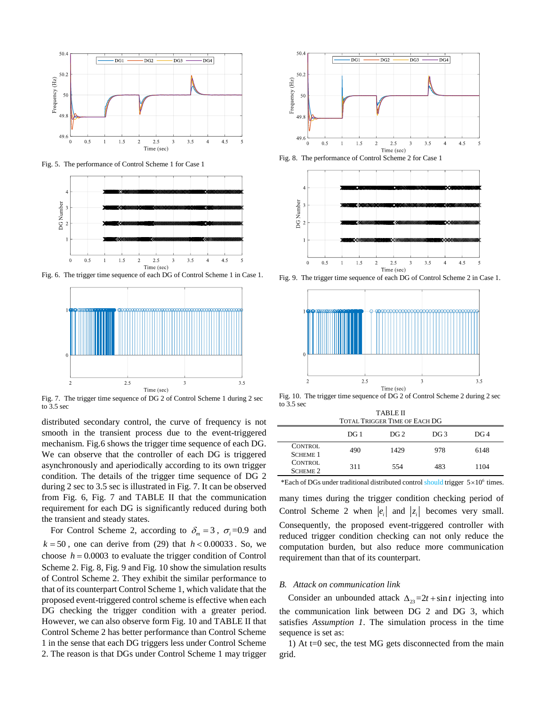

Fig. 5. The performance of Control Scheme 1 for Case 1



Fig. 6. The trigger time sequence of each DG of Control Scheme 1 in Case 1.



Fig. 7. The trigger time sequence of DG 2 of Control Scheme 1 during 2 sec to 3.5 sec

distributed secondary control, the curve of frequency is not smooth in the transient process due to the event-triggered mechanism. Fig.6 shows the trigger time sequence of each DG. We can observe that the controller of each DG is triggered asynchronously and aperiodically according to its own trigger condition. The details of the trigger time sequence of DG 2 during 2 sec to 3.5 sec is illustrated in Fig. 7. It can be observed from Fig. 6, Fig. 7 and TABLE II that the communication requirement for each DG is significantly reduced during both the transient and steady states.

For Control Scheme 2, according to  $\delta_m = 3$ ,  $\sigma_i = 0.9$  and  $k = 50$ , one can derive from (29) that  $h < 0.00033$ . So, we choose  $h = 0.0003$  to evaluate the trigger condition of Control Scheme 2. Fig. 8, Fig. 9 and Fig. 10 show the simulation results of Control Scheme 2. They exhibit the similar performance to that of its counterpart Control Scheme 1, which validate that the proposed event-triggered control scheme is effective when each DG checking the trigger condition with a greater period. However, we can also observe form Fig. 10 and TABLE II that Control Scheme 2 has better performance than Control Scheme 1 in the sense that each DG triggers less under Control Scheme 2. The reason is that DGs under Control Scheme 1 may trigger



Fig. 8. The performance of Control Scheme 2 for Case 1



Fig. 9. The trigger time sequence of each DG of Control Scheme 2 in Case 1.



Fig. 10. The trigger time sequence of DG 2 of Control Scheme 2 during 2 sec to 3.5 sec TABLE II

| TADLE II<br><b>TOTAL TRIGGER TIME OF EACH DG</b> |                 |                 |                 |                 |  |  |
|--------------------------------------------------|-----------------|-----------------|-----------------|-----------------|--|--|
|                                                  | DG <sub>1</sub> | DG <sub>2</sub> | DG <sub>3</sub> | DG <sub>4</sub> |  |  |
| CONTROL<br><b>SCHEME 1</b>                       | 490             | 1429            | 978             | 6148            |  |  |
| CONTROL<br><b>SCHEME 2</b>                       | 311             | 554             | 483             | 1104            |  |  |

\*Each of DGs under traditional distributed control should trigger  $5 \times 10^6$  times.

many times during the trigger condition checking period of Control Scheme 2 when  $|e_i|$  and  $|z_i|$  becomes very small. Consequently, the proposed event-triggered controller with reduced trigger condition checking can not only reduce the computation burden, but also reduce more communication requirement than that of its counterpart.

#### *B. Attack on communication link*

Consider an unbounded attack  $\Delta_{23} = 2t + \sin t$  injecting into the communication link between DG 2 and DG 3, which satisfies *Assumption 1*. The simulation process in the time sequence is set as:

1) At  $t=0$  sec, the test MG gets disconnected from the main grid.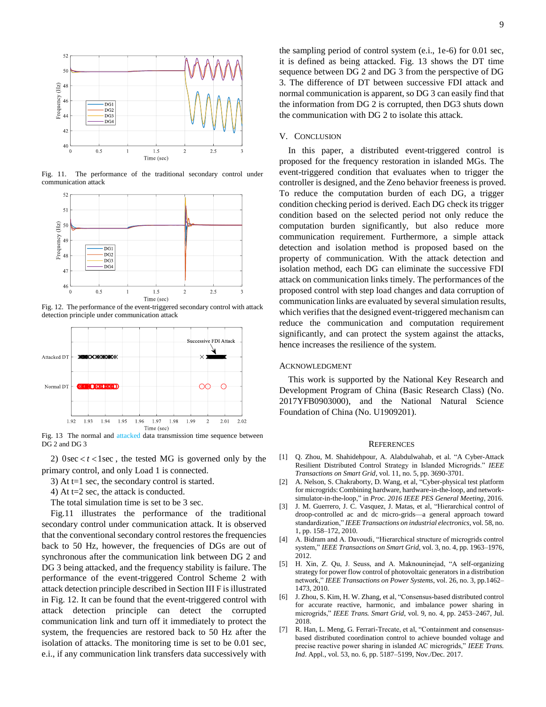

Fig. 11. The performance of the traditional secondary control under communication attack



Fig. 12. The performance of the event-triggered secondary control with attack detection principle under communication attack



Fig. 13 The normal and attacked data transmission time sequence between DG 2 and DG 3

2)  $0$ sec  $lt$   $t$   $lt$  1 sec, the tested MG is governed only by the primary control, and only Load 1 is connected.

3) At t=1 sec, the secondary control is started.

4) At t=2 sec, the attack is conducted.

The total simulation time is set to be 3 sec.

Fig.11 illustrates the performance of the traditional secondary control under communication attack. It is observed that the conventional secondary control restores the frequencies back to 50 Hz, however, the frequencies of DGs are out of synchronous after the communication link between DG 2 and DG 3 being attacked, and the frequency stability is failure. The performance of the event-triggered Control Scheme 2 with attack detection principle described in Section III F is illustrated in Fig. 12. It can be found that the event-triggered control with attack detection principle can detect the corrupted communication link and turn off it immediately to protect the system, the frequencies are restored back to 50 Hz after the isolation of attacks. The monitoring time is set to be 0.01 sec, e.i., if any communication link transfers data successively with the sampling period of control system (e.i., 1e-6) for 0.01 sec, it is defined as being attacked. Fig. 13 shows the DT time sequence between DG 2 and DG 3 from the perspective of DG 3. The difference of DT between successive FDI attack and normal communication is apparent, so DG 3 can easily find that the information from DG 2 is corrupted, then DG3 shuts down the communication with DG 2 to isolate this attack.

## V. CONCLUSION

In this paper, a distributed event-triggered control is proposed for the frequency restoration in islanded MGs. The event-triggered condition that evaluates when to trigger the controller is designed, and the Zeno behavior freeness is proved. To reduce the computation burden of each DG, a trigger condition checking period is derived. Each DG check its trigger condition based on the selected period not only reduce the computation burden significantly, but also reduce more communication requirement. Furthermore, a simple attack detection and isolation method is proposed based on the property of communication. With the attack detection and isolation method, each DG can eliminate the successive FDI attack on communication links timely. The performances of the proposed control with step load changes and data corruption of communication links are evaluated by several simulation results, which verifies that the designed event-triggered mechanism can reduce the communication and computation requirement significantly, and can protect the system against the attacks, hence increases the resilience of the system.

## ACKNOWLEDGMENT

This work is supported by the National Key Research and Development Program of China (Basic Research Class) (No. 2017YFB0903000), and the National Natural Science Foundation of China (No. U1909201).

#### **REFERENCES**

- <span id="page-8-0"></span>[1] Q. Zhou, M. Shahidehpour, A. Alabdulwahab, et al. "A Cyber-Attack Resilient Distributed Control Strategy in Islanded Microgrids." *IEEE Transactions on Smart Grid*, vol. 11, no. 5, pp. 3690-3701.
- <span id="page-8-1"></span>[2] A. Nelson, S. Chakraborty, D. Wang, et al, "Cyber-physical test platform for microgrids: Combining hardware, hardware-in-the-loop, and networksimulator-in-the-loop," in *Proc. 2016 IEEE PES General Meeting*, 2016.
- <span id="page-8-2"></span>[3] J. M. Guerrero, J. C. Vasquez, J. Matas, et al, "Hierarchical control of droop-controlled ac and dc micro-grids—a general approach toward standardization," *IEEE Transactions on industrial electronics*, vol. 58, no. 1, pp. 158–172, 2010.
- <span id="page-8-3"></span>[4] A. Bidram and A. Davoudi, "Hierarchical structure of microgrids control system," *IEEE Transactions on Smart Grid*, vol. 3, no. 4, pp. 1963–1976, 2012.
- <span id="page-8-4"></span>[5] H. Xin, Z. Qu, J. Seuss, and A. Maknouninejad, "A self-organizing strategy for power flow control of photovoltaic generators in a distribution network," *IEEE Transactions on Power Systems*, vol. 26, no. 3, pp.1462– 1473, 2010.
- [6] J. Zhou, S. Kim, H. W. Zhang, et al, "Consensus-based distributed control for accurate reactive, harmonic, and imbalance power sharing in microgrids," *IEEE Trans. Smart Grid*, vol. 9, no. 4, pp. 2453–2467, Jul. 2018.
- [7] R. Han, L. Meng, G. Ferrari-Trecate, et al, "Containment and consensusbased distributed coordination control to achieve bounded voltage and precise reactive power sharing in islanded AC microgrids," *IEEE Trans. Ind*. Appl., vol. 53, no. 6, pp. 5187–5199, Nov./Dec. 2017.